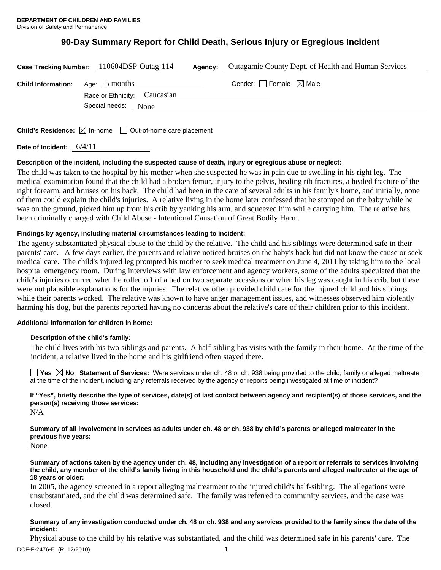# **90-Day Summary Report for Child Death, Serious Injury or Egregious Incident**

|                           | Case Tracking Number: 110604DSP-Outag-114              | Agency: | Outagamie County Dept. of Health and Human Services |
|---------------------------|--------------------------------------------------------|---------|-----------------------------------------------------|
| <b>Child Information:</b> | Age: 5 months                                          |         | Gender: Female $\boxtimes$ Male                     |
|                           | Race or Ethnicity: Caucasian<br>Special needs:<br>None |         |                                                     |
|                           |                                                        |         |                                                     |

**Child's Residence:**  $\boxtimes$  In-home  $\Box$  Out-of-home care placement

**Date of Incident:** 6/4/11

# **Description of the incident, including the suspected cause of death, injury or egregious abuse or neglect:**

The child was taken to the hospital by his mother when she suspected he was in pain due to swelling in his right leg. The medical examination found that the child had a broken femur, injury to the pelvis, healing rib fractures, a healed fracture of the right forearm, and bruises on his back. The child had been in the care of several adults in his family's home, and initially, none of them could explain the child's injuries. A relative living in the home later confessed that he stomped on the baby while he was on the ground, picked him up from his crib by yanking his arm, and squeezed him while carrying him. The relative has been criminally charged with Child Abuse - Intentional Causation of Great Bodily Harm.

# **Findings by agency, including material circumstances leading to incident:**

The agency substantiated physical abuse to the child by the relative. The child and his siblings were determined safe in their parents' care. A few days earlier, the parents and relative noticed bruises on the baby's back but did not know the cause or seek medical care. The child's injured leg prompted his mother to seek medical treatment on June 4, 2011 by taking him to the local hospital emergency room. During interviews with law enforcement and agency workers, some of the adults speculated that the child's injuries occurred when he rolled off of a bed on two separate occasions or when his leg was caught in his crib, but these were not plausible explanations for the injuries. The relative often provided child care for the injured child and his siblings while their parents worked. The relative was known to have anger management issues, and witnesses observed him violently harming his dog, but the parents reported having no concerns about the relative's care of their children prior to this incident.

## **Additional information for children in home:**

## **Description of the child's family:**

The child lives with his two siblings and parents. A half-sibling has visits with the family in their home. At the time of the incident, a relative lived in the home and his girlfriend often stayed there.

**No** Statement of Services: Were services under ch. 48 or ch. 938 being provided to the child, family or alleged maltreater at the time of the incident, including any referrals received by the agency or reports being investigated at time of incident?

**If "Yes", briefly describe the type of services, date(s) of last contact between agency and recipient(s) of those services, and the person(s) receiving those services:** 

N/A

**Summary of all involvement in services as adults under ch. 48 or ch. 938 by child's parents or alleged maltreater in the previous five years:** 

None

**Summary of actions taken by the agency under ch. 48, including any investigation of a report or referrals to services involving the child, any member of the child's family living in this household and the child's parents and alleged maltreater at the age of 18 years or older:** 

In 2005, the agency screened in a report alleging maltreatment to the injured child's half-sibling. The allegations were unsubstantiated, and the child was determined safe. The family was referred to community services, and the case was closed.

## **Summary of any investigation conducted under ch. 48 or ch. 938 and any services provided to the family since the date of the incident:**

DCF-F-2476-E (R. 12/2010) 1 Physical abuse to the child by his relative was substantiated, and the child was determined safe in his parents' care. The